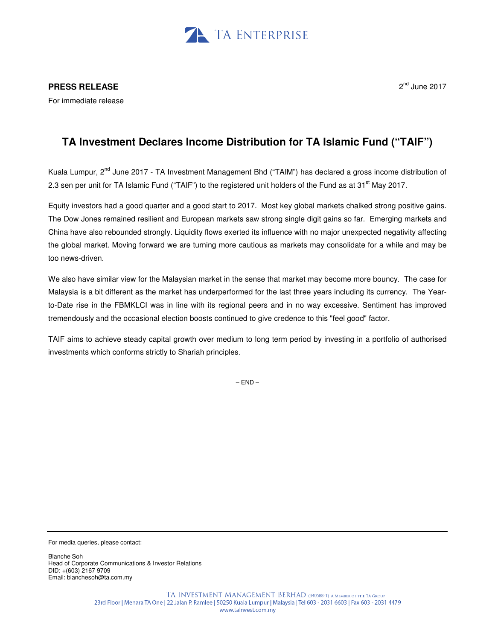

## **PRESS RELEASE**

For immediate release

## 2<sup>nd</sup> June 2017

## **TA Investment Declares Income Distribution for TA Islamic Fund ("TAIF")**

Kuala Lumpur, 2<sup>nd</sup> June 2017 - TA Investment Management Bhd ("TAIM") has declared a gross income distribution of 2.3 sen per unit for TA Islamic Fund ("TAIF") to the registered unit holders of the Fund as at  $31<sup>st</sup>$  May 2017.

Equity investors had a good quarter and a good start to 2017. Most key global markets chalked strong positive gains. The Dow Jones remained resilient and European markets saw strong single digit gains so far. Emerging markets and China have also rebounded strongly. Liquidity flows exerted its influence with no major unexpected negativity affecting the global market. Moving forward we are turning more cautious as markets may consolidate for a while and may be too news-driven.

We also have similar view for the Malaysian market in the sense that market may become more bouncy. The case for Malaysia is a bit different as the market has underperformed for the last three years including its currency. The Yearto-Date rise in the FBMKLCI was in line with its regional peers and in no way excessive. Sentiment has improved tremendously and the occasional election boosts continued to give credence to this "feel good" factor.

TAIF aims to achieve steady capital growth over medium to long term period by investing in a portfolio of authorised investments which conforms strictly to Shariah principles.

 $-$  END  $-$ 

For media queries, please contact:

Blanche Soh Head of Corporate Communications & Investor Relations DID: +(603) 2167 9709 Email: blanchesoh@ta.com.my